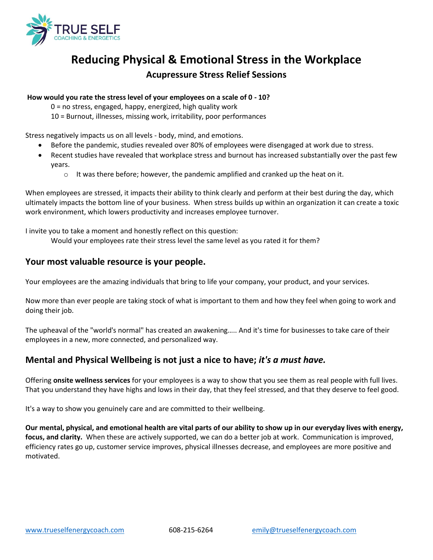

# **Reducing Physical & Emotional Stress in the Workplace**

# **Acupressure Stress Relief Sessions**

## **How would you rate the stress level of your employees on a scale of 0 - 10?**

0 = no stress, engaged, happy, energized, high quality work

10 = Burnout, illnesses, missing work, irritability, poor performances

Stress negatively impacts us on all levels - body, mind, and emotions.

- Before the pandemic, studies revealed over 80% of employees were disengaged at work due to stress.
- Recent studies have revealed that workplace stress and burnout has increased substantially over the past few years.
	- $\circ$  It was there before; however, the pandemic amplified and cranked up the heat on it.

When employees are stressed, it impacts their ability to think clearly and perform at their best during the day, which ultimately impacts the bottom line of your business. When stress builds up within an organization it can create a toxic work environment, which lowers productivity and increases employee turnover.

I invite you to take a moment and honestly reflect on this question:

Would your employees rate their stress level the same level as you rated it for them?

# **Your most valuable resource is your people.**

Your employees are the amazing individuals that bring to life your company, your product, and your services.

Now more than ever people are taking stock of what is important to them and how they feel when going to work and doing their job.

The upheaval of the "world's normal" has created an awakening….. And it's time for businesses to take care of their employees in a new, more connected, and personalized way.

# **Mental and Physical Wellbeing is not just a nice to have;** *it's a must have.*

Offering **onsite wellness services** for your employees is a way to show that you see them as real people with full lives. That you understand they have highs and lows in their day, that they feel stressed, and that they deserve to feel good.

It's a way to show you genuinely care and are committed to their wellbeing.

**Our mental, physical, and emotional health are vital parts of our ability to show up in our everyday lives with energy, focus, and clarity.** When these are actively supported, we can do a better job at work. Communication is improved, efficiency rates go up, customer service improves, physical illnesses decrease, and employees are more positive and motivated.